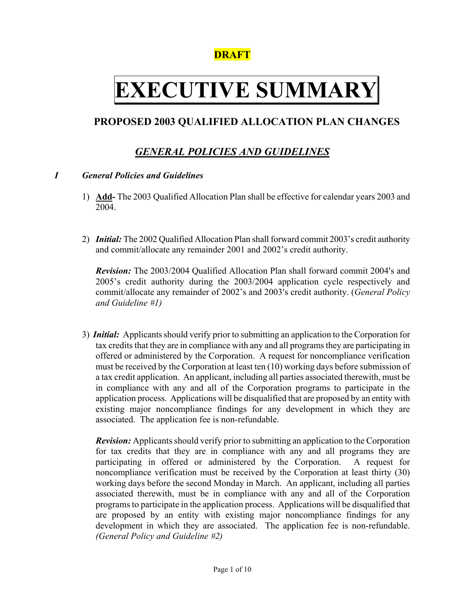## **DRAFT**

# **EXECUTIVE SUMMARY**

## **PROPOSED 2003 QUALIFIED ALLOCATION PLAN CHANGES**

## *GENERAL POLICIES AND GUIDELINES*

#### *I General Policies and Guidelines*

- 1) **Add-** The 2003 Qualified Allocation Plan shall be effective for calendar years 2003 and 2004.
- 2) *Initial:* The 2002 Qualified Allocation Plan shall forward commit 2003's credit authority and commit/allocate any remainder 2001 and 2002's credit authority.

**Revision:** The 2003/2004 Qualified Allocation Plan shall forward commit 2004's and 2005's credit authority during the 2003/2004 application cycle respectively and commit/allocate any remainder of 2002's and 2003's credit authority. (*General Policy and Guideline #1)* 

3) *Initial:* Applicants should verify prior to submitting an application to the Corporation for tax credits that they are in compliance with any and all programs they are participating in offered or administered by the Corporation. A request for noncompliance verification must be received by the Corporation at least ten (10) working days before submission of a tax credit application. An applicant, including all parties associated therewith, must be in compliance with any and all of the Corporation programs to participate in the application process. Applications will be disqualified that are proposed by an entity with existing major noncompliance findings for any development in which they are associated. The application fee is non-refundable.

*Revision:* Applicants should verify prior to submitting an application to the Corporation for tax credits that they are in compliance with any and all programs they are participating in offered or administered by the Corporation. A request for noncompliance verification must be received by the Corporation at least thirty (30) working days before the second Monday in March. An applicant, including all parties associated therewith, must be in compliance with any and all of the Corporation programs to participate in the application process. Applications will be disqualified that are proposed by an entity with existing major noncompliance findings for any development in which they are associated. The application fee is non-refundable. *(General Policy and Guideline #2)*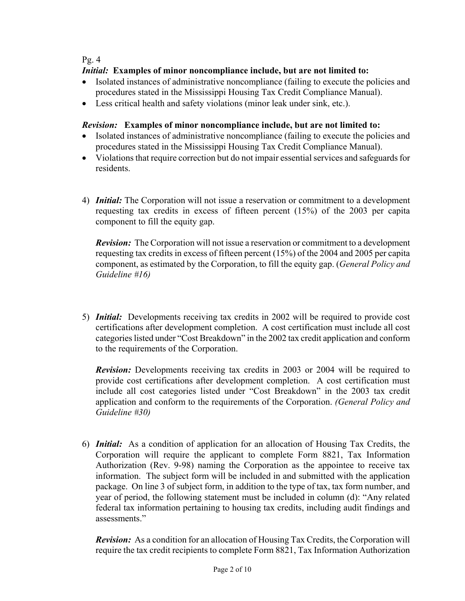#### Pg. 4

#### *Initial:* **Examples of minor noncompliance include, but are not limited to:**

- Isolated instances of administrative noncompliance (failing to execute the policies and procedures stated in the Mississippi Housing Tax Credit Compliance Manual).
- Less critical health and safety violations (minor leak under sink, etc.).

#### *Revision:* **Examples of minor noncompliance include, but are not limited to:**

- Isolated instances of administrative noncompliance (failing to execute the policies and procedures stated in the Mississippi Housing Tax Credit Compliance Manual).
- Violations that require correction but do not impair essential services and safeguards for residents.
- 4) *Initial:* The Corporation will not issue a reservation or commitment to a development requesting tax credits in excess of fifteen percent (15%) of the 2003 per capita component to fill the equity gap.

*Revision:* The Corporation will not issue a reservation or commitment to a development requesting tax credits in excess of fifteen percent (15%) of the 2004 and 2005 per capita component, as estimated by the Corporation, to fill the equity gap. (*General Policy and Guideline #16)*

5) *Initial:* Developments receiving tax credits in 2002 will be required to provide cost certifications after development completion. A cost certification must include all cost categories listed under "Cost Breakdown" in the 2002 tax credit application and conform to the requirements of the Corporation.

*Revision:* Developments receiving tax credits in 2003 or 2004 will be required to provide cost certifications after development completion. A cost certification must include all cost categories listed under "Cost Breakdown" in the 2003 tax credit application and conform to the requirements of the Corporation. *(General Policy and Guideline #30)* 

6) *Initial:* As a condition of application for an allocation of Housing Tax Credits, the Corporation will require the applicant to complete Form 8821, Tax Information Authorization (Rev. 9-98) naming the Corporation as the appointee to receive tax information. The subject form will be included in and submitted with the application package. On line 3 of subject form, in addition to the type of tax, tax form number, and year of period, the following statement must be included in column (d): "Any related federal tax information pertaining to housing tax credits, including audit findings and assessments."

*Revision:* As a condition for an allocation of Housing Tax Credits, the Corporation will require the tax credit recipients to complete Form 8821, Tax Information Authorization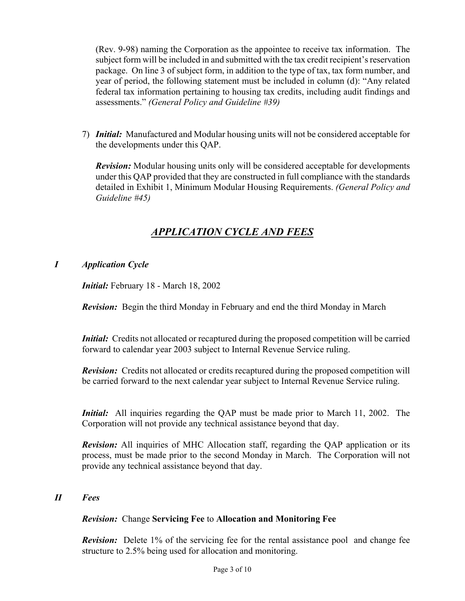(Rev. 9-98) naming the Corporation as the appointee to receive tax information. The subject form will be included in and submitted with the tax credit recipient's reservation package. On line 3 of subject form, in addition to the type of tax, tax form number, and year of period, the following statement must be included in column (d): "Any related federal tax information pertaining to housing tax credits, including audit findings and assessments." *(General Policy and Guideline #39)* 

7) *Initial:* Manufactured and Modular housing units will not be considered acceptable for the developments under this QAP.

*Revision:* Modular housing units only will be considered acceptable for developments under this QAP provided that they are constructed in full compliance with the standards detailed in Exhibit 1, Minimum Modular Housing Requirements. *(General Policy and Guideline #45)* 

## *APPLICATION CYCLE AND FEES*

#### *I Application Cycle*

*Initial:* February 18 - March 18, 2002

*Revision:* Begin the third Monday in February and end the third Monday in March

*Initial:* Credits not allocated or recaptured during the proposed competition will be carried forward to calendar year 2003 subject to Internal Revenue Service ruling.

*Revision:* Credits not allocated or credits recaptured during the proposed competition will be carried forward to the next calendar year subject to Internal Revenue Service ruling.

*Initial:* All inquiries regarding the QAP must be made prior to March 11, 2002. The Corporation will not provide any technical assistance beyond that day.

*Revision:* All inquiries of MHC Allocation staff, regarding the QAP application or its process, must be made prior to the second Monday in March. The Corporation will not provide any technical assistance beyond that day.

#### *II Fees*

#### *Revision:* Change **Servicing Fee** to **Allocation and Monitoring Fee**

*Revision:* Delete 1% of the servicing fee for the rental assistance pool and change fee structure to 2.5% being used for allocation and monitoring.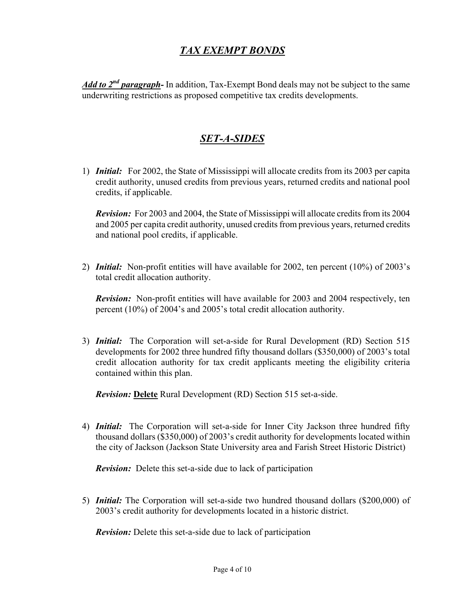## *TAX EXEMPT BONDS*

 *Add to 2nd paragraph-* In addition, Tax-Exempt Bond deals may not be subject to the same underwriting restrictions as proposed competitive tax credits developments.

## *SET-A-SIDES*

1) *Initial:* For 2002, the State of Mississippi will allocate credits from its 2003 per capita credit authority, unused credits from previous years, returned credits and national pool credits, if applicable.

 *Revision:* For 2003 and 2004, the State of Mississippi will allocate credits from its 2004 and 2005 per capita credit authority, unused credits from previous years, returned credits and national pool credits, if applicable.

2) *Initial:* Non-profit entities will have available for 2002, ten percent (10%) of 2003's total credit allocation authority.

*Revision:* Non-profit entities will have available for 2003 and 2004 respectively, ten percent (10%) of 2004's and 2005's total credit allocation authority.

3) *Initial:* The Corporation will set-a-side for Rural Development (RD) Section 515 developments for 2002 three hundred fifty thousand dollars (\$350,000) of 2003's total credit allocation authority for tax credit applicants meeting the eligibility criteria contained within this plan.

 *Revision:* **Delete** Rural Development (RD) Section 515 set-a-side.

4) *Initial:* The Corporation will set-a-side for Inner City Jackson three hundred fifty thousand dollars (\$350,000) of 2003's credit authority for developments located within the city of Jackson (Jackson State University area and Farish Street Historic District)

 *Revision:* Delete this set-a-side due to lack of participation

5) *Initial:* The Corporation will set-a-side two hundred thousand dollars (\$200,000) of 2003's credit authority for developments located in a historic district.

 *Revision:* Delete this set-a-side due to lack of participation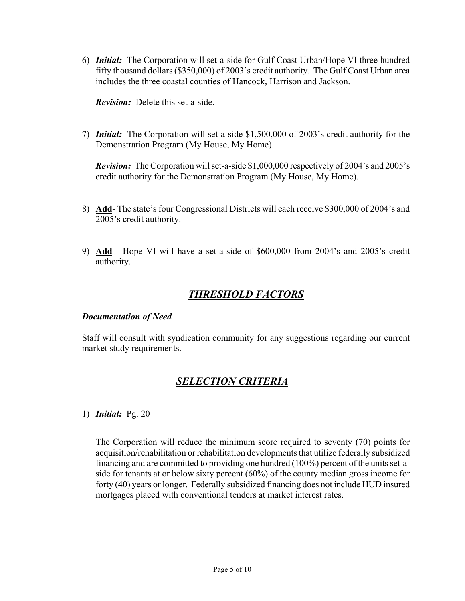6) *Initial:* The Corporation will set-a-side for Gulf Coast Urban/Hope VI three hundred fifty thousand dollars (\$350,000) of 2003's credit authority. The Gulf Coast Urban area includes the three coastal counties of Hancock, Harrison and Jackson.

 *Revision:* Delete this set-a-side.

7) *Initial:* The Corporation will set-a-side \$1,500,000 of 2003's credit authority for the Demonstration Program (My House, My Home).

*Revision:* The Corporation will set-a-side \$1,000,000 respectively of 2004's and 2005's credit authority for the Demonstration Program (My House, My Home).

- 8) **Add** The state's four Congressional Districts will each receive \$300,000 of 2004's and 2005's credit authority.
- 9) **Add** Hope VI will have a set-a-side of \$600,000 from 2004's and 2005's credit authority.

## *THRESHOLD FACTORS*

#### *Documentation of Need*

 Staff will consult with syndication community for any suggestions regarding our current market study requirements.

## *SELECTION CRITERIA*

#### 1) *Initial:* Pg. 20

The Corporation will reduce the minimum score required to seventy (70) points for acquisition/rehabilitation or rehabilitation developments that utilize federally subsidized financing and are committed to providing one hundred (100%) percent of the units set-aside for tenants at or below sixty percent (60%) of the county median gross income for forty (40) years or longer. Federally subsidized financing does not include HUD insured mortgages placed with conventional tenders at market interest rates.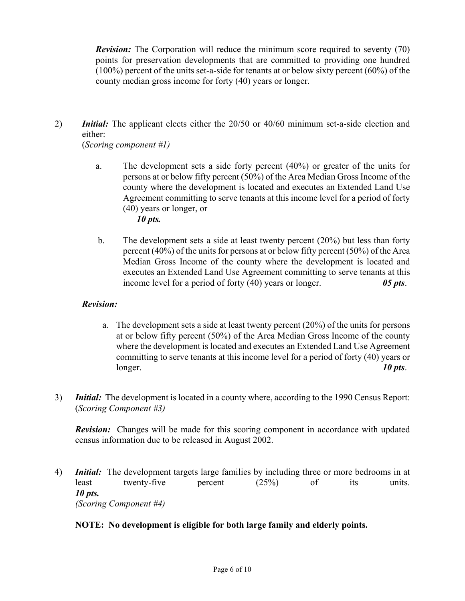*Revision:* The Corporation will reduce the minimum score required to seventy (70) points for preservation developments that are committed to providing one hundred (100%) percent of the units set-a-side for tenants at or below sixty percent (60%) of the county median gross income for forty (40) years or longer.

2) *Initial:* The applicant elects either the 20/50 or 40/60 minimum set-a-side election and either:

(*Scoring component #1)* 

- a. The development sets a side forty percent (40%) or greater of the units for persons at or below fifty percent (50%) of the Area Median Gross Income of the county where the development is located and executes an Extended Land Use Agreement committing to serve tenants at this income level for a period of forty (40) years or longer, or *10 pts.*
- b. The development sets a side at least twenty percent (20%) but less than forty percent (40%) of the units for persons at or below fifty percent (50%) of the Area Median Gross Income of the county where the development is located and executes an Extended Land Use Agreement committing to serve tenants at this income level for a period of forty (40) years or longer. *05 pts*.

#### *Revision:*

- a. The development sets a side at least twenty percent (20%) of the units for persons at or below fifty percent (50%) of the Area Median Gross Income of the county where the development is located and executes an Extended Land Use Agreement committing to serve tenants at this income level for a period of forty (40) years or longer. *10 pts*.
- 3) *Initial:* The development is located in a county where, according to the 1990 Census Report: (*Scoring Component #3)*

*Revision:* Changes will be made for this scoring component in accordance with updated census information due to be released in August 2002.

4) *Initial:* The development targets large families by including three or more bedrooms in at least twenty-five percent (25%) of its units. *10 pts. (Scoring Component #4)* 

#### **NOTE: No development is eligible for both large family and elderly points.**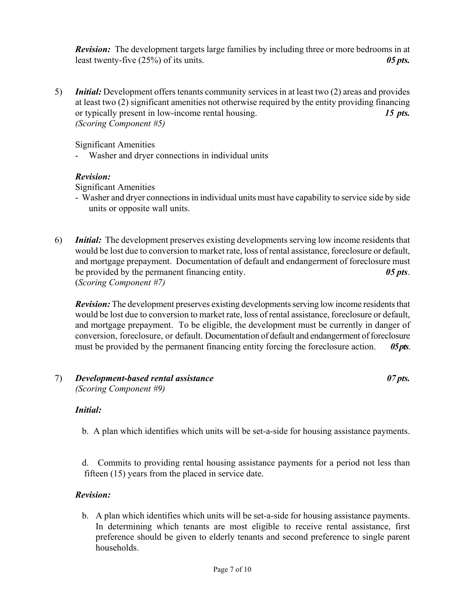*Revision:* The development targets large families by including three or more bedrooms in at least twenty-five (25%) of its units. *05 pts.* 

5) *Initial:* Development offers tenants community services in at least two (2) areas and provides at least two (2) significant amenities not otherwise required by the entity providing financing or typically present in low-income rental housing. *15 pts. (Scoring Component #5)* 

Significant Amenities

- Washer and dryer connections in individual units

#### *Revision:*

Significant Amenities

- Washer and dryer connections in individual units must have capability to service side by side units or opposite wall units.
- 6) *Initial:* The development preserves existing developments serving low income residents that would be lost due to conversion to market rate, loss of rental assistance, foreclosure or default, and mortgage prepayment. Documentation of default and endangerment of foreclosure must be provided by the permanent financing entity. *05 pts*. (*Scoring Component #7)*

*Revision:* The development preserves existing developments serving low income residents that would be lost due to conversion to market rate, loss of rental assistance, foreclosure or default, and mortgage prepayment. To be eligible, the development must be currently in danger of conversion, foreclosure, or default. Documentation of default and endangerment of foreclosure must be provided by the permanent financing entity forcing the foreclosure action. *05 pts*.

#### 7) *Development-based rental assistance 07 pts. (Scoring Component #9)*

#### *Initial:*

b. A plan which identifies which units will be set-a-side for housing assistance payments.

d. Commits to providing rental housing assistance payments for a period not less than fifteen (15) years from the placed in service date.

#### *Revision:*

b. A plan which identifies which units will be set-a-side for housing assistance payments. In determining which tenants are most eligible to receive rental assistance, first preference should be given to elderly tenants and second preference to single parent households.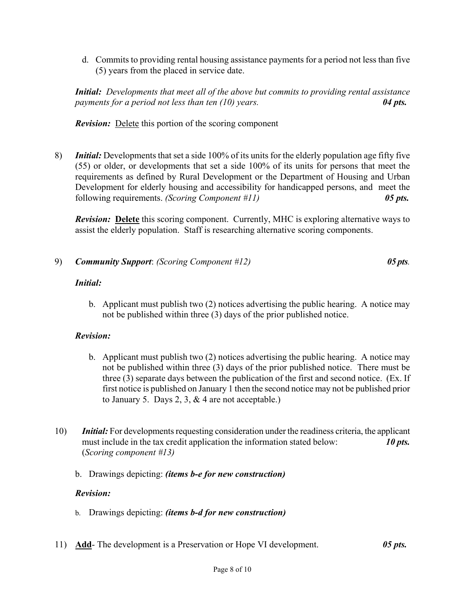d. Commits to providing rental housing assistance payments for a period not less than five (5) years from the placed in service date.

*Initial: Developments that meet all of the above but commits to providing rental assistance payments for a period not less than ten (10) years. 04 pts.*

*Revision:* Delete this portion of the scoring component

8) *Initial:* Developments that set a side 100% of its units for the elderly population age fifty five (55) or older, or developments that set a side 100% of its units for persons that meet the requirements as defined by Rural Development or the Department of Housing and Urban Development for elderly housing and accessibility for handicapped persons, and meet the following requirements. *(Scoring Component #11) 05 pts.* 

*Revision:* Delete this scoring component. Currently, MHC is exploring alternative ways to assist the elderly population. Staff is researching alternative scoring components.

9) *Community Support*: *(Scoring Component #12) 05 pts.* 

#### *Initial:*

b. Applicant must publish two (2) notices advertising the public hearing. A notice may not be published within three (3) days of the prior published notice.

#### *Revision:*

- b. Applicant must publish two (2) notices advertising the public hearing. A notice may not be published within three (3) days of the prior published notice. There must be three (3) separate days between the publication of the first and second notice. (Ex. If first notice is published on January 1 then the second notice may not be published prior to January 5. Days 2, 3,  $&4$  are not acceptable.)
- 10) *Initial:* For developments requesting consideration under the readiness criteria, the applicant must include in the tax credit application the information stated below: **10 pts.**  (*Scoring component #13)* 
	- b. Drawings depicting: *(items b-e for new construction)*

#### *Revision:*

- b. Drawings depicting: *(items b-d for new construction)*
- 11) **Add** The development is a Preservation or Hope VI development. *05 pts.*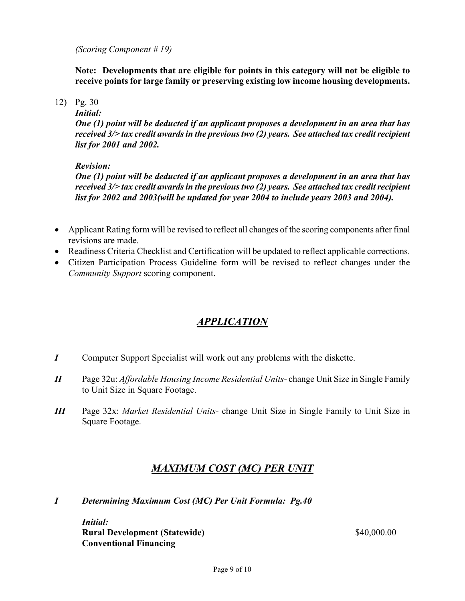*(Scoring Component # 19)* 

**Note: Developments that are eligible for points in this category will not be eligible to receive points for large family or preserving existing low income housing developments.** 

12) Pg. 30

*Initial:* 

*One (1) point will be deducted if an applicant proposes a development in an area that has received 3/> tax credit awards in the previous two (2) years. See attached tax credit recipient list for 2001 and 2002.* 

#### *Revision:*

*One (1) point will be deducted if an applicant proposes a development in an area that has received 3/> tax credit awards in the previous two (2) years. See attached tax credit recipient list for 2002 and 2003(will be updated for year 2004 to include years 2003 and 2004).* 

- Applicant Rating form will be revised to reflect all changes of the scoring components after final revisions are made.
- Readiness Criteria Checklist and Certification will be updated to reflect applicable corrections.
- Citizen Participation Process Guideline form will be revised to reflect changes under the *Community Support* scoring component.

## *APPLICATION*

- *I* Computer Support Specialist will work out any problems with the diskette.
- *II* Page 32u: *Affordable Housing Income Residential Units-* change Unit Size in Single Family to Unit Size in Square Footage.
- *III* Page 32x: *Market Residential Units-* change Unit Size in Single Family to Unit Size in Square Footage.

## *MAXIMUM COST (MC) PER UNIT*

*I Determining Maximum Cost (MC) Per Unit Formula: Pg.40* 

*Initial:*  **Rural Development (Statewide)** \$40,000.00 **Conventional Financing**